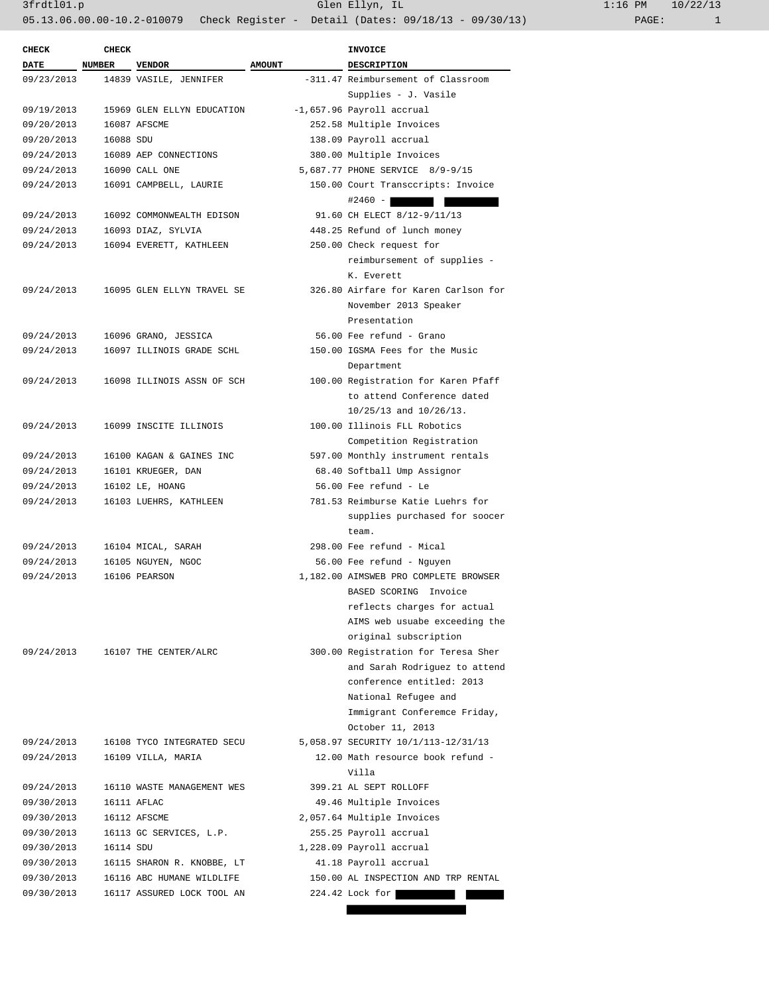| <b>CHECK</b>             | <b>CHECK</b> |                            |               | <b>INVOICE</b>                        |  |
|--------------------------|--------------|----------------------------|---------------|---------------------------------------|--|
| <b>DATE</b>              | NUMBER       | <b>VENDOR</b>              | <b>AMOUNT</b> | <b>DESCRIPTION</b>                    |  |
| 09/23/2013               |              | 14839 VASILE, JENNIFER     |               | -311.47 Reimbursement of Classroom    |  |
|                          |              |                            |               | Supplies - J. Vasile                  |  |
| 09/19/2013               |              | 15969 GLEN ELLYN EDUCATION |               | -1,657.96 Payroll accrual             |  |
| 09/20/2013               |              | 16087 AFSCME               |               | 252.58 Multiple Invoices              |  |
| 09/20/2013               | 16088 SDU    |                            |               | 138.09 Payroll accrual                |  |
| 09/24/2013               |              | 16089 AEP CONNECTIONS      |               | 380.00 Multiple Invoices              |  |
| 09/24/2013               |              | 16090 CALL ONE             |               | 5,687.77 PHONE SERVICE 8/9-9/15       |  |
| 09/24/2013               |              | 16091 CAMPBELL, LAURIE     |               | 150.00 Court Transccripts: Invoice    |  |
|                          |              |                            |               | $#2460 -$                             |  |
| 09/24/2013               |              | 16092 COMMONWEALTH EDISON  |               | 91.60 CH ELECT 8/12-9/11/13           |  |
| 09/24/2013               |              | 16093 DIAZ, SYLVIA         |               | 448.25 Refund of lunch money          |  |
| 09/24/2013               |              | 16094 EVERETT, KATHLEEN    |               | 250.00 Check request for              |  |
|                          |              |                            |               | reimbursement of supplies -           |  |
|                          |              |                            |               | K. Everett                            |  |
| 09/24/2013               |              | 16095 GLEN ELLYN TRAVEL SE |               | 326.80 Airfare for Karen Carlson for  |  |
|                          |              |                            |               | November 2013 Speaker                 |  |
|                          |              |                            |               | Presentation                          |  |
| 09/24/2013               |              | 16096 GRANO, JESSICA       |               | 56.00 Fee refund - Grano              |  |
| 09/24/2013               |              | 16097 ILLINOIS GRADE SCHL  |               | 150.00 IGSMA Fees for the Music       |  |
|                          |              |                            |               | Department                            |  |
| 09/24/2013               |              | 16098 ILLINOIS ASSN OF SCH |               | 100.00 Registration for Karen Pfaff   |  |
|                          |              |                            |               | to attend Conference dated            |  |
|                          |              |                            |               | $10/25/13$ and $10/26/13$ .           |  |
| 09/24/2013               |              | 16099 INSCITE ILLINOIS     |               | 100.00 Illinois FLL Robotics          |  |
|                          |              |                            |               | Competition Registration              |  |
| 09/24/2013               |              | 16100 KAGAN & GAINES INC   |               | 597.00 Monthly instrument rentals     |  |
| 09/24/2013               |              | 16101 KRUEGER, DAN         |               | 68.40 Softball Ump Assignor           |  |
| 09/24/2013               |              | 16102 LE, HOANG            |               | 56.00 Fee refund - Le                 |  |
| 09/24/2013               |              | 16103 LUEHRS, KATHLEEN     |               | 781.53 Reimburse Katie Luehrs for     |  |
|                          |              |                            |               | supplies purchased for soocer         |  |
|                          |              |                            |               | team.                                 |  |
| 09/24/2013               |              | 16104 MICAL, SARAH         |               | 298.00 Fee refund - Mical             |  |
| 09/24/2013               |              | 16105 NGUYEN, NGOC         |               | 56.00 Fee refund - Nguyen             |  |
| 09/24/2013               |              | 16106 PEARSON              |               | 1,182.00 AIMSWEB PRO COMPLETE BROWSER |  |
|                          |              |                            |               | BASED SCORING Invoice                 |  |
|                          |              |                            |               | reflects charges for actual           |  |
|                          |              |                            |               | AIMS web usuabe exceeding the         |  |
|                          |              |                            |               | original subscription                 |  |
| 09/24/2013               |              | 16107 THE CENTER/ALRC      |               | 300.00 Registration for Teresa Sher   |  |
|                          |              |                            |               | and Sarah Rodriguez to attend         |  |
|                          |              |                            |               | conference entitled: 2013             |  |
|                          |              |                            |               | National Refugee and                  |  |
|                          |              |                            |               | Immigrant Conferemce Friday,          |  |
|                          |              |                            |               | October 11, 2013                      |  |
| 09/24/2013               |              | 16108 TYCO INTEGRATED SECU |               | 5,058.97 SECURITY 10/1/113-12/31/13   |  |
| 09/24/2013               |              | 16109 VILLA, MARIA         |               | 12.00 Math resource book refund -     |  |
|                          |              |                            |               | Villa                                 |  |
| 09/24/2013               |              | 16110 WASTE MANAGEMENT WES |               | 399.21 AL SEPT ROLLOFF                |  |
| 09/30/2013               |              | 16111 AFLAC                |               | 49.46 Multiple Invoices               |  |
| 09/30/2013               |              | 16112 AFSCME               |               | 2,057.64 Multiple Invoices            |  |
| 09/30/2013               |              | 16113 GC SERVICES, L.P.    |               | 255.25 Payroll accrual                |  |
| 09/30/2013               | 16114 SDU    |                            |               | 1,228.09 Payroll accrual              |  |
| 09/30/2013               |              | 16115 SHARON R. KNOBBE, LT |               | 41.18 Payroll accrual                 |  |
|                          |              | 16116 ABC HUMANE WILDLIFE  |               | 150.00 AL INSPECTION AND TRP RENTAL   |  |
| 09/30/2013<br>09/30/2013 |              | 16117 ASSURED LOCK TOOL AN |               |                                       |  |
|                          |              |                            |               | $224.42$ Lock for                     |  |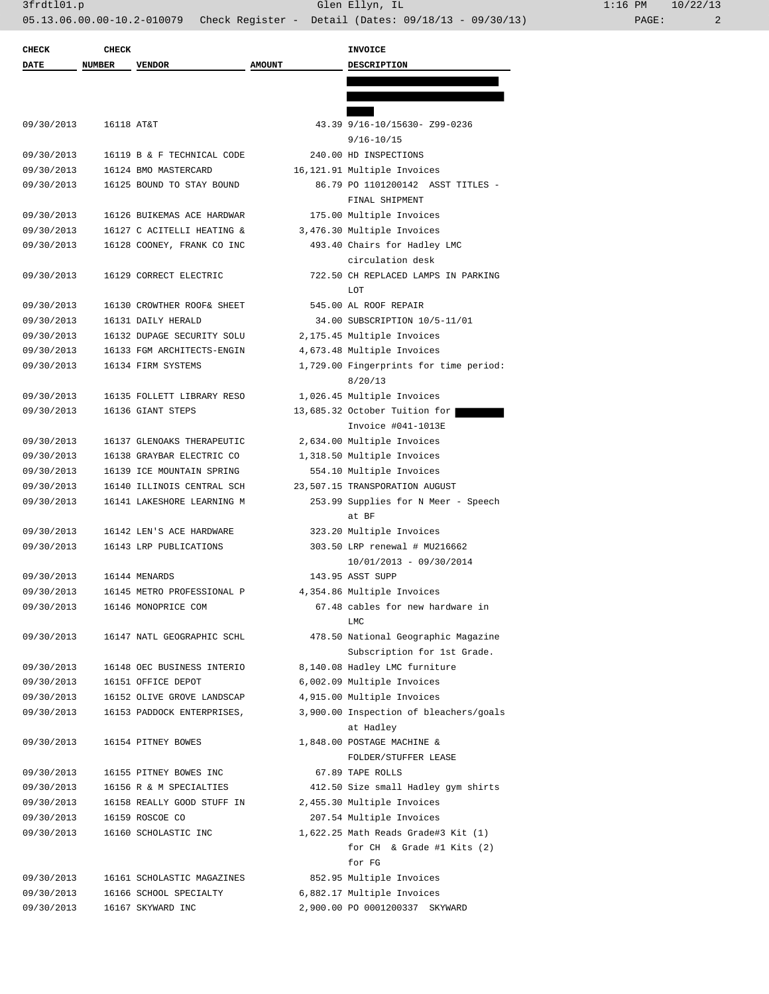| <b>CHECK</b> | <b>CHECK</b>  |                            |               | <b>INVOICE</b>                               |
|--------------|---------------|----------------------------|---------------|----------------------------------------------|
| DATE         | <b>NUMBER</b> | <b>VENDOR</b>              | <b>AMOUNT</b> | <b>DESCRIPTION</b>                           |
|              |               |                            |               |                                              |
|              |               |                            |               |                                              |
| 09/30/2013   | 16118 AT&T    |                            |               | 43.39 9/16-10/15630- Z99-0236                |
|              |               |                            |               | $9/16 - 10/15$                               |
| 09/30/2013   |               | 16119 B & F TECHNICAL CODE |               | 240.00 HD INSPECTIONS                        |
| 09/30/2013   |               | 16124 BMO MASTERCARD       |               | 16,121.91 Multiple Invoices                  |
| 09/30/2013   |               | 16125 BOUND TO STAY BOUND  |               | 86.79 PO 1101200142 ASST TITLES -            |
|              |               |                            |               | FINAL SHIPMENT                               |
| 09/30/2013   |               | 16126 BUIKEMAS ACE HARDWAR |               | 175.00 Multiple Invoices                     |
| 09/30/2013   |               | 16127 C ACITELLI HEATING & |               | 3,476.30 Multiple Invoices                   |
| 09/30/2013   |               | 16128 COONEY, FRANK CO INC |               | 493.40 Chairs for Hadley LMC                 |
|              |               |                            |               | circulation desk                             |
| 09/30/2013   |               | 16129 CORRECT ELECTRIC     |               | 722.50 CH REPLACED LAMPS IN PARKING          |
|              |               |                            |               | LOT                                          |
| 09/30/2013   |               | 16130 CROWTHER ROOF& SHEET |               | 545.00 AL ROOF REPAIR                        |
| 09/30/2013   |               | 16131 DAILY HERALD         |               | 34.00 SUBSCRIPTION 10/5-11/01                |
| 09/30/2013   |               | 16132 DUPAGE SECURITY SOLU |               | 2,175.45 Multiple Invoices                   |
| 09/30/2013   |               | 16133 FGM ARCHITECTS-ENGIN |               | 4,673.48 Multiple Invoices                   |
| 09/30/2013   |               | 16134 FIRM SYSTEMS         |               | 1,729.00 Fingerprints for time period:       |
|              |               |                            |               | 8/20/13                                      |
| 09/30/2013   |               | 16135 FOLLETT LIBRARY RESO |               | 1,026.45 Multiple Invoices                   |
| 09/30/2013   |               | 16136 GIANT STEPS          |               | 13,685.32 October Tuition for                |
|              |               |                            |               | Invoice #041-1013E                           |
| 09/30/2013   |               | 16137 GLENOAKS THERAPEUTIC |               | 2,634.00 Multiple Invoices                   |
| 09/30/2013   |               | 16138 GRAYBAR ELECTRIC CO  |               | 1,318.50 Multiple Invoices                   |
| 09/30/2013   |               | 16139 ICE MOUNTAIN SPRING  |               | 554.10 Multiple Invoices                     |
| 09/30/2013   |               | 16140 ILLINOIS CENTRAL SCH |               | 23,507.15 TRANSPORATION AUGUST               |
| 09/30/2013   |               | 16141 LAKESHORE LEARNING M |               | 253.99 Supplies for N Meer - Speech<br>at BF |
| 09/30/2013   |               | 16142 LEN'S ACE HARDWARE   |               | 323.20 Multiple Invoices                     |
| 09/30/2013   |               | 16143 LRP PUBLICATIONS     |               | 303.50 LRP renewal # MU216662                |
|              |               |                            |               | $10/01/2013 - 09/30/2014$                    |
| 09/30/2013   |               | 16144 MENARDS              |               | 143.95 ASST SUPP                             |
| 09/30/2013   |               | 16145 METRO PROFESSIONAL P |               | 4,354.86 Multiple Invoices                   |
| 09/30/2013   |               | 16146 MONOPRICE COM        |               | 67.48 cables for new hardware in             |
|              |               |                            |               | LMC                                          |
| 09/30/2013   |               | 16147 NATL GEOGRAPHIC SCHL |               | 478.50 National Geographic Magazine          |
|              |               |                            |               | Subscription for 1st Grade.                  |
| 09/30/2013   |               | 16148 OEC BUSINESS INTERIO |               | 8,140.08 Hadley LMC furniture                |
| 09/30/2013   |               | 16151 OFFICE DEPOT         |               | 6,002.09 Multiple Invoices                   |
| 09/30/2013   |               | 16152 OLIVE GROVE LANDSCAP |               | 4,915.00 Multiple Invoices                   |
| 09/30/2013   |               | 16153 PADDOCK ENTERPRISES, |               | 3,900.00 Inspection of bleachers/goals       |
|              |               |                            |               | at Hadley                                    |
| 09/30/2013   |               | 16154 PITNEY BOWES         |               | 1,848.00 POSTAGE MACHINE &                   |
|              |               |                            |               | FOLDER/STUFFER LEASE                         |
| 09/30/2013   |               | 16155 PITNEY BOWES INC     |               | 67.89 TAPE ROLLS                             |
| 09/30/2013   |               | 16156 R & M SPECIALTIES    |               | 412.50 Size small Hadley gym shirts          |
| 09/30/2013   |               | 16158 REALLY GOOD STUFF IN |               | 2,455.30 Multiple Invoices                   |
| 09/30/2013   |               | 16159 ROSCOE CO            |               | 207.54 Multiple Invoices                     |
| 09/30/2013   |               | 16160 SCHOLASTIC INC       |               | $1,622.25$ Math Reads Grade#3 Kit $(1)$      |
|              |               |                            |               | for $CH$ & Grade #1 Kits (2)                 |
|              |               |                            |               | for FG                                       |
| 09/30/2013   |               | 16161 SCHOLASTIC MAGAZINES |               | 852.95 Multiple Invoices                     |
| 09/30/2013   |               | 16166 SCHOOL SPECIALTY     |               | 6,882.17 Multiple Invoices                   |
| 09/30/2013   |               | 16167 SKYWARD INC          |               | 2,900.00 PO 0001200337 SKYWARD               |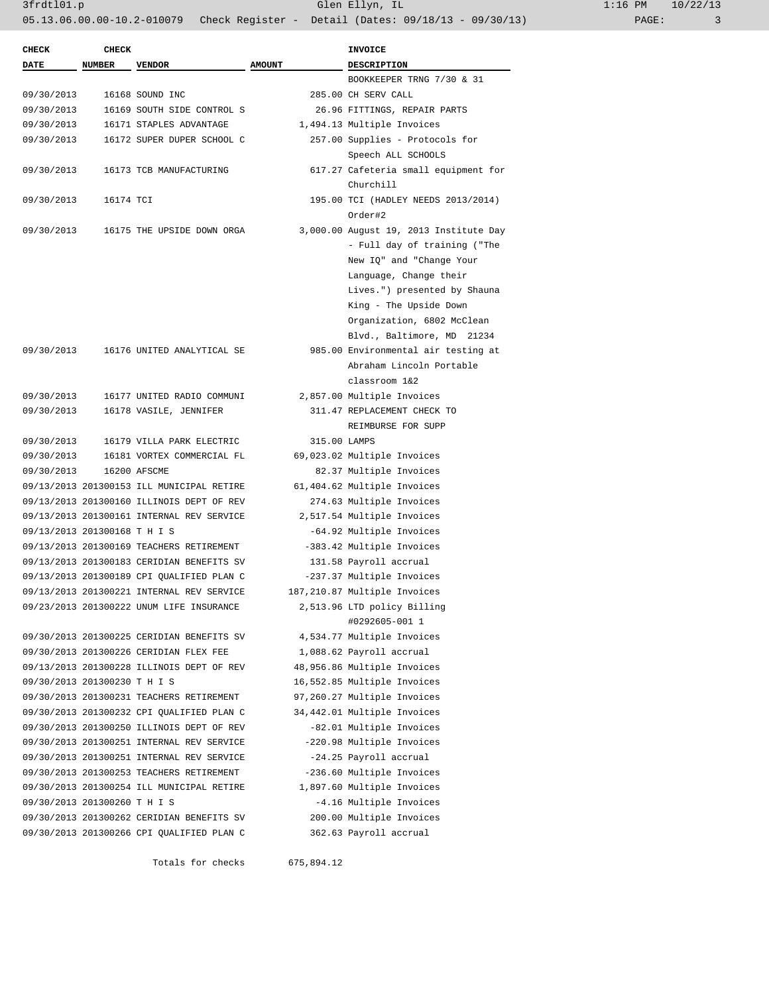| $1:16$ PM |       | 10/22/13 |
|-----------|-------|----------|
|           | PAGE: | 3        |

| <b>CHECK</b>                 | <b>CHECK</b>  |                                           |               | <b>INVOICE</b>                         |
|------------------------------|---------------|-------------------------------------------|---------------|----------------------------------------|
| <b>DATE</b>                  | <b>NUMBER</b> | <b>VENDOR</b>                             | <b>AMOUNT</b> | DESCRIPTION                            |
|                              |               |                                           |               | BOOKKEEPER TRNG 7/30 & 31              |
| 09/30/2013                   |               | 16168 SOUND INC                           |               | 285.00 CH SERV CALL                    |
| 09/30/2013                   |               | 16169 SOUTH SIDE CONTROL S                |               | 26.96 FITTINGS, REPAIR PARTS           |
| 09/30/2013                   |               | 16171 STAPLES ADVANTAGE                   |               | 1,494.13 Multiple Invoices             |
| 09/30/2013                   |               | 16172 SUPER DUPER SCHOOL C                |               | 257.00 Supplies - Protocols for        |
|                              |               |                                           |               | Speech ALL SCHOOLS                     |
| 09/30/2013                   |               | 16173 TCB MANUFACTURING                   |               | 617.27 Cafeteria small equipment for   |
|                              |               |                                           |               | Churchill                              |
| 09/30/2013                   | 16174 TCI     |                                           |               | 195.00 TCI (HADLEY NEEDS 2013/2014)    |
|                              |               |                                           |               | Order#2                                |
| 09/30/2013                   |               | 16175 THE UPSIDE DOWN ORGA                |               | 3,000.00 August 19, 2013 Institute Day |
|                              |               |                                           |               | - Full day of training ("The           |
|                              |               |                                           |               | New IQ" and "Change Your               |
|                              |               |                                           |               | Language, Change their                 |
|                              |               |                                           |               | Lives.") presented by Shauna           |
|                              |               |                                           |               | King - The Upside Down                 |
|                              |               |                                           |               | Organization, 6802 McClean             |
|                              |               |                                           |               | Blvd., Baltimore, MD 21234             |
| 09/30/2013                   |               | 16176 UNITED ANALYTICAL SE                |               | 985.00 Environmental air testing at    |
|                              |               |                                           |               | Abraham Lincoln Portable               |
|                              |               |                                           |               | classroom 1&2                          |
| 09/30/2013                   |               | 16177 UNITED RADIO COMMUNI                |               | 2,857.00 Multiple Invoices             |
| 09/30/2013                   |               | 16178 VASILE, JENNIFER                    |               | 311.47 REPLACEMENT CHECK TO            |
|                              |               |                                           |               | REIMBURSE FOR SUPP                     |
| 09/30/2013                   |               | 16179 VILLA PARK ELECTRIC                 | 315.00 LAMPS  |                                        |
| 09/30/2013                   |               | 16181 VORTEX COMMERCIAL FL                |               | 69,023.02 Multiple Invoices            |
| 09/30/2013                   |               | 16200 AFSCME                              |               | 82.37 Multiple Invoices                |
|                              |               | 09/13/2013 201300153 ILL MUNICIPAL RETIRE |               | 61,404.62 Multiple Invoices            |
|                              |               | 09/13/2013 201300160 ILLINOIS DEPT OF REV |               | 274.63 Multiple Invoices               |
|                              |               | 09/13/2013 201300161 INTERNAL REV SERVICE |               | 2,517.54 Multiple Invoices             |
| 09/13/2013 201300168 T H I S |               |                                           |               | -64.92 Multiple Invoices               |
|                              |               | 09/13/2013 201300169 TEACHERS RETIREMENT  |               | -383.42 Multiple Invoices              |
|                              |               | 09/13/2013 201300183 CERIDIAN BENEFITS SV |               | 131.58 Payroll accrual                 |
|                              |               | 09/13/2013 201300189 CPI QUALIFIED PLAN C |               | -237.37 Multiple Invoices              |
|                              |               | 09/13/2013 201300221 INTERNAL REV SERVICE |               | 187,210.87 Multiple Invoices           |
|                              |               | 09/23/2013 201300222 UNUM LIFE INSURANCE  |               | 2,513.96 LTD policy Billing            |
|                              |               |                                           |               | #0292605-001 1                         |
|                              |               | 09/30/2013 201300225 CERIDIAN BENEFITS SV |               | 4,534.77 Multiple Invoices             |
|                              |               | 09/30/2013 201300226 CERIDIAN FLEX FEE    |               | 1,088.62 Payroll accrual               |
|                              |               | 09/13/2013 201300228 ILLINOIS DEPT OF REV |               | 48,956.86 Multiple Invoices            |
| 09/30/2013 201300230 T H I S |               |                                           |               | 16,552.85 Multiple Invoices            |
|                              |               | 09/30/2013 201300231 TEACHERS RETIREMENT  |               | 97,260.27 Multiple Invoices            |
|                              |               | 09/30/2013 201300232 CPI QUALIFIED PLAN C |               | 34,442.01 Multiple Invoices            |
|                              |               | 09/30/2013 201300250 ILLINOIS DEPT OF REV |               | -82.01 Multiple Invoices               |
|                              |               | 09/30/2013 201300251 INTERNAL REV SERVICE |               | -220.98 Multiple Invoices              |
|                              |               | 09/30/2013 201300251 INTERNAL REV SERVICE |               | -24.25 Payroll accrual                 |
|                              |               | 09/30/2013 201300253 TEACHERS RETIREMENT  |               | -236.60 Multiple Invoices              |
|                              |               | 09/30/2013 201300254 ILL MUNICIPAL RETIRE |               | 1,897.60 Multiple Invoices             |
| 09/30/2013 201300260 T H I S |               |                                           |               | -4.16 Multiple Invoices                |
|                              |               | 09/30/2013 201300262 CERIDIAN BENEFITS SV |               | 200.00 Multiple Invoices               |
|                              |               | 09/30/2013 201300266 CPI QUALIFIED PLAN C |               | 362.63 Payroll accrual                 |
|                              |               |                                           |               |                                        |

Totals for checks 675,894.12